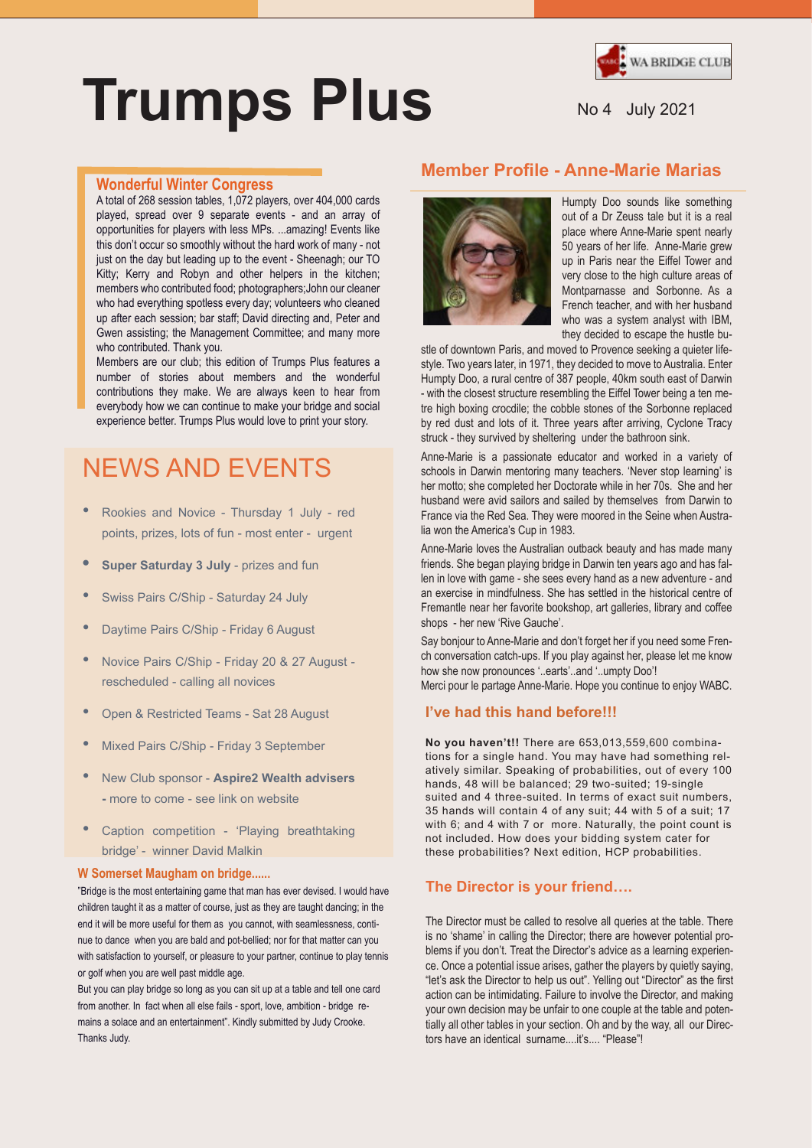

# **Trumps Plus**

#### **Wonderful Winter Congress**

A total of 268 session tables, 1,072 players, over 404,000 cards played, spread over 9 separate events - and an array of opportunities for players with less MPs. ...amazing! Events like this don't occur so smoothly without the hard work of many - not just on the day but leading up to the event - Sheenagh; our TO Kitty; Kerry and Robyn and other helpers in the kitchen; members who contributed food; photographers;John our cleaner who had everything spotless every day; volunteers who cleaned up after each session; bar staff; David directing and, Peter and Gwen assisting; the Management Committee; and many more who contributed. Thank you.

Members are our club; this edition of Trumps Plus features a number of stories about members and the wonderful contributions they make. We are always keen to hear from everybody how we can continue to make your bridge and social experience better. Trumps Plus would love to print your story.

## NEWS AND EVENTS

- Rookies and Novice Thursday 1 July red points, prizes, lots of fun - most enter - urgent
- **• Super Saturday 3 July** prizes and fun
- Swiss Pairs C/Ship Saturday 24 July
- Daytime Pairs C/Ship Friday 6 August
- Novice Pairs C/Ship Friday 20 & 27 August rescheduled - calling all novices
- Open & Restricted Teams Sat 28 August
- Mixed Pairs C/Ship Friday 3 September
- New Club sponsor **Aspire2 Wealth advisers -** more to come - see link on website
- Caption competition 'Playing breathtaking bridge' - winner David Malkin

#### **W Somerset Maugham on bridge......**

"Bridge is the most entertaining game that man has ever devised. I would have children taught it as a matter of course, just as they are taught dancing; in the end it will be more useful for them as you cannot, with seamlessness, continue to dance when you are bald and pot-bellied; nor for that matter can you with satisfaction to yourself, or pleasure to your partner, continue to play tennis or golf when you are well past middle age.

But you can play bridge so long as you can sit up at a table and tell one card from another. In fact when all else fails - sport, love, ambition - bridge remains a solace and an entertainment". Kindly submitted by Judy Crooke. Thanks Judy.

## **Member Profile - Anne-Marie Marias**



Humpty Doo sounds like something out of a Dr Zeuss tale but it is a real place where Anne-Marie spent nearly 50 years of her life. Anne-Marie grew up in Paris near the Eiffel Tower and very close to the high culture areas of Montparnasse and Sorbonne. As a French teacher, and with her husband who was a system analyst with IBM, they decided to escape the hustle bu-

stle of downtown Paris, and moved to Provence seeking a quieter lifestyle. Two years later, in 1971, they decided to move to Australia. Enter Humpty Doo, a rural centre of 387 people, 40km south east of Darwin - with the closest structure resembling the Eiffel Tower being a ten metre high boxing crocdile; the cobble stones of the Sorbonne replaced by red dust and lots of it. Three years after arriving, Cyclone Tracy struck - they survived by sheltering under the bathroon sink.

Anne-Marie is a passionate educator and worked in a variety of schools in Darwin mentoring many teachers. 'Never stop learning' is her motto; she completed her Doctorate while in her 70s. She and her husband were avid sailors and sailed by themselves from Darwin to France via the Red Sea. They were moored in the Seine when Australia won the America's Cup in 1983.

Anne-Marie loves the Australian outback beauty and has made many friends. She began playing bridge in Darwin ten years ago and has fallen in love with game - she sees every hand as a new adventure - and an exercise in mindfulness. She has settled in the historical centre of Fremantle near her favorite bookshop, art galleries, library and coffee shops - her new 'Rive Gauche'.

Say bonjour to Anne-Marie and don't forget her if you need some French conversation catch-ups. If you play against her, please let me know how she now pronounces '..earts'..and '..umpty Doo'! Merci pour le partage Anne-Marie. Hope you continue to enjoy WABC.

## **I've had this hand before!!!**

**No you haven't!!** There are 653,013,559,600 combinations for a single hand. You may have had something relatively similar. Speaking of probabilities, out of every 100 hands, 48 will be balanced; 29 two-suited; 19-single suited and 4 three-suited. In terms of exact suit numbers, 35 hands will contain 4 of any suit; 44 with 5 of a suit; 17 with 6; and 4 with 7 or more. Naturally, the point count is not included. How does your bidding system cater for these probabilities? Next edition, HCP probabilities.

#### **The Director is your friend….**

The Director must be called to resolve all queries at the table. There is no 'shame' in calling the Director; there are however potential problems if you don't. Treat the Director's advice as a learning experience. Once a potential issue arises, gather the players by quietly saying, "let's ask the Director to help us out". Yelling out "Director" as the first action can be intimidating. Failure to involve the Director, and making your own decision may be unfair to one couple at the table and potentially all other tables in your section. Oh and by the way, all our Directors have an identical surname....it's.... "Please"!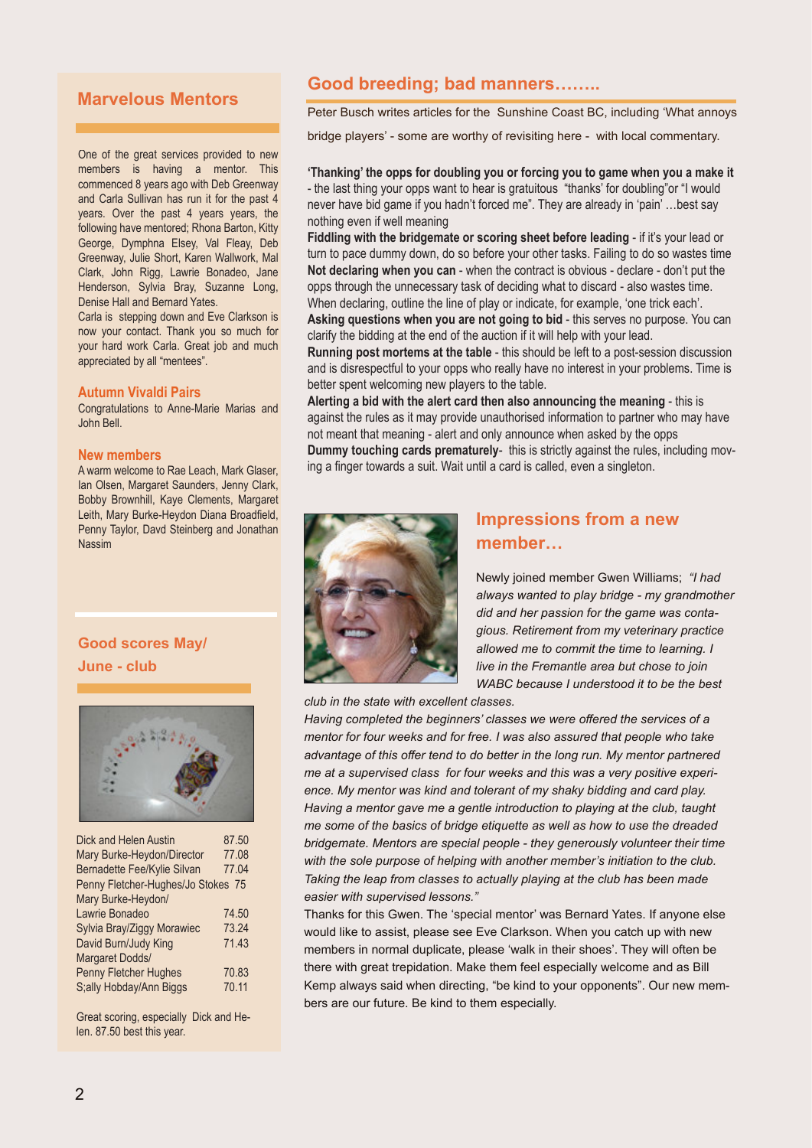## **Marvelous Mentors**

One of the great services provided to new members is having a mentor. This commenced 8 years ago with Deb Greenway and Carla Sullivan has run it for the past 4 years. Over the past 4 years years, the following have mentored; Rhona Barton, Kitty George, Dymphna Elsey, Val Fleay, Deb Greenway, Julie Short, Karen Wallwork, Mal Clark, John Rigg, Lawrie Bonadeo, Jane Henderson, Sylvia Bray, Suzanne Long, Denise Hall and Bernard Yates.

Carla is stepping down and Eve Clarkson is now your contact. Thank you so much for your hard work Carla. Great job and much appreciated by all "mentees".

#### **Autumn Vivaldi Pairs**

Congratulations to Anne-Marie Marias and John Bell.

#### **New members**

A warm welcome to Rae Leach, Mark Glaser, Ian Olsen, Margaret Saunders, Jenny Clark, Bobby Brownhill, Kaye Clements, Margaret Leith, Mary Burke-Heydon Diana Broadfield, Penny Taylor, Davd Steinberg and Jonathan Nassim

## **Good scores May/ June - club**



| Dick and Helen Austin              | 87.50 |
|------------------------------------|-------|
| Mary Burke-Heydon/Director         | 77.08 |
| Bernadette Fee/Kylie Silvan        | 77.04 |
| Penny Fletcher-Hughes/Jo Stokes 75 |       |
| Mary Burke-Heydon/                 |       |
| Lawrie Bonadeo                     | 74.50 |
| Sylvia Bray/Ziggy Morawiec         | 73.24 |
| David Burn/Judy King               | 71.43 |
| Margaret Dodds/                    |       |
| Penny Fletcher Hughes              | 70.83 |
| S;ally Hobday/Ann Biggs            | 70.11 |
|                                    |       |

Great scoring, especially Dick and Helen. 87.50 best this year.

## **Good breeding; bad manners……..**

Peter Busch writes articles for the Sunshine Coast BC, including 'What annoys

bridge players' - some are worthy of revisiting here - with local commentary.

**'Thanking' the opps for doubling you or forcing you to game when you a make it** - the last thing your opps want to hear is gratuitous "thanks' for doubling"or "I would never have bid game if you hadn't forced me". They are already in 'pain' …best say nothing even if well meaning

**Fiddling with the bridgemate or scoring sheet before leading** - if it's your lead or turn to pace dummy down, do so before your other tasks. Failing to do so wastes time **Not declaring when you can** - when the contract is obvious - declare - don't put the opps through the unnecessary task of deciding what to discard - also wastes time. When declaring, outline the line of play or indicate, for example, 'one trick each'.

**Asking questions when you are not going to bid** - this serves no purpose. You can clarify the bidding at the end of the auction if it will help with your lead.

**Running post mortems at the table** - this should be left to a post-session discussion and is disrespectful to your opps who really have no interest in your problems. Time is better spent welcoming new players to the table.

**Alerting a bid with the alert card then also announcing the meaning** - this is against the rules as it may provide unauthorised information to partner who may have not meant that meaning - alert and only announce when asked by the opps **Dummy touching cards prematurely**- this is strictly against the rules, including moving a finger towards a suit. Wait until a card is called, even a singleton.



## **Impressions from a new member…**

Newly joined member Gwen Williams; *"I had always wanted to play bridge - my grandmother did and her passion for the game was contagious. Retirement from my veterinary practice allowed me to commit the time to learning. I live in the Fremantle area but chose to join WABC because I understood it to be the best*

*club in the state with excellent classes.*

*Having completed the beginners' classes we were offered the services of a mentor for four weeks and for free. I was also assured that people who take advantage of this offer tend to do better in the long run. My mentor partnered me at a supervised class for four weeks and this was a very positive experience. My mentor was kind and tolerant of my shaky bidding and card play. Having a mentor gave me a gentle introduction to playing at the club, taught me some of the basics of bridge etiquette as well as how to use the dreaded bridgemate. Mentors are special people - they generously volunteer their time with the sole purpose of helping with another member's initiation to the club. Taking the leap from classes to actually playing at the club has been made easier with supervised lessons."*

Thanks for this Gwen. The 'special mentor' was Bernard Yates. If anyone else would like to assist, please see Eve Clarkson. When you catch up with new members in normal duplicate, please 'walk in their shoes'. They will often be there with great trepidation. Make them feel especially welcome and as Bill Kemp always said when directing, "be kind to your opponents". Our new members are our future. Be kind to them especially.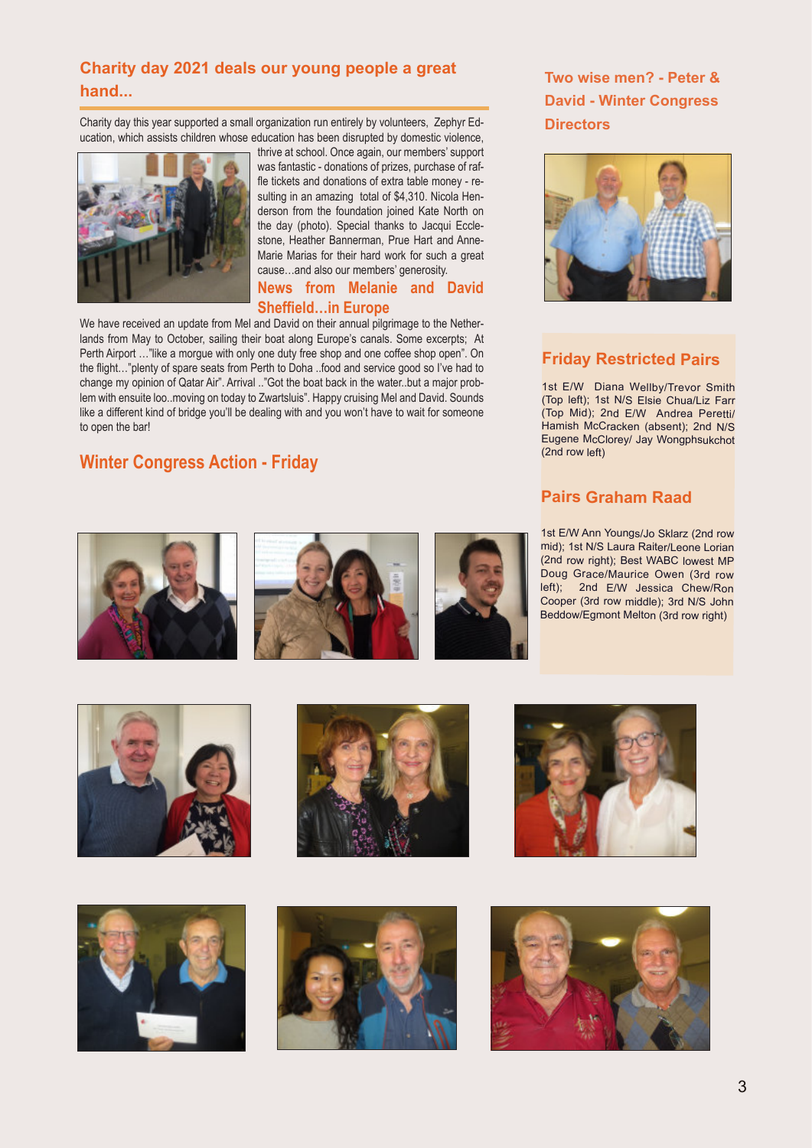## **Charity day 2021 deals our young people a great hand...**

Charity day this year supported a small organization run entirely by volunteers, Zephyr Education, which assists children whose education has been disrupted by domestic violence,



thrive at school. Once again, our members' support was fantastic - donations of prizes, purchase of raffle tickets and donations of extra table money - resulting in an amazing total of \$4,310. Nicola Henderson from the foundation joined Kate North on the day (photo). Special thanks to Jacqui Ecclestone, Heather Bannerman, Prue Hart and Anne-Marie Marias for their hard work for such a great cause…and also our members' generosity.

## **News from Melanie and David Sheffield…in Europe**

We have received an update from Mel and David on their annual pilgrimage to the Netherlands from May to October, sailing their boat along Europe's canals. Some excerpts; At Perth Airport …"like a morgue with only one duty free shop and one coffee shop open". On the flight…"plenty of spare seats from Perth to Doha ..food and service good so I've had to change my opinion of Qatar Air". Arrival .."Got the boat back in the water..but a major problem with ensuite loo..moving on today to Zwartsluis". Happy cruising Mel and David. Sounds like a different kind of bridge you'll be dealing with and you won't have to wait for someone to open the bar!

## **Winter Congress Action - Friday**

**Two wise men? - Peter & David - Winter Congress Directors**



## **Friday Restricted Pairs**

1st E/W Diana Wellby/Trevor Smith (Top left); 1st N/S Elsie Chua/Liz Farr (Top Mid); 2nd E/W Andrea Peretti/ Hamish McCracken (absent); 2nd N/S Eugene McClorey/ Jay Wongphsukchot (2nd row left)

## **Pairs Graham Raad**

1st E/W Ann Youngs/Jo Sklarz (2nd row mid); 1st N/S Laura Raiter/Leone Lorian (2nd row right); Best WABC lowest MP Doug Grace/Maurice Owen (3rd row left); 2nd E/W Jessica Chew/Ron Cooper (3rd row middle); 3rd N/S John Beddow/Egmont Melton (3rd row right)